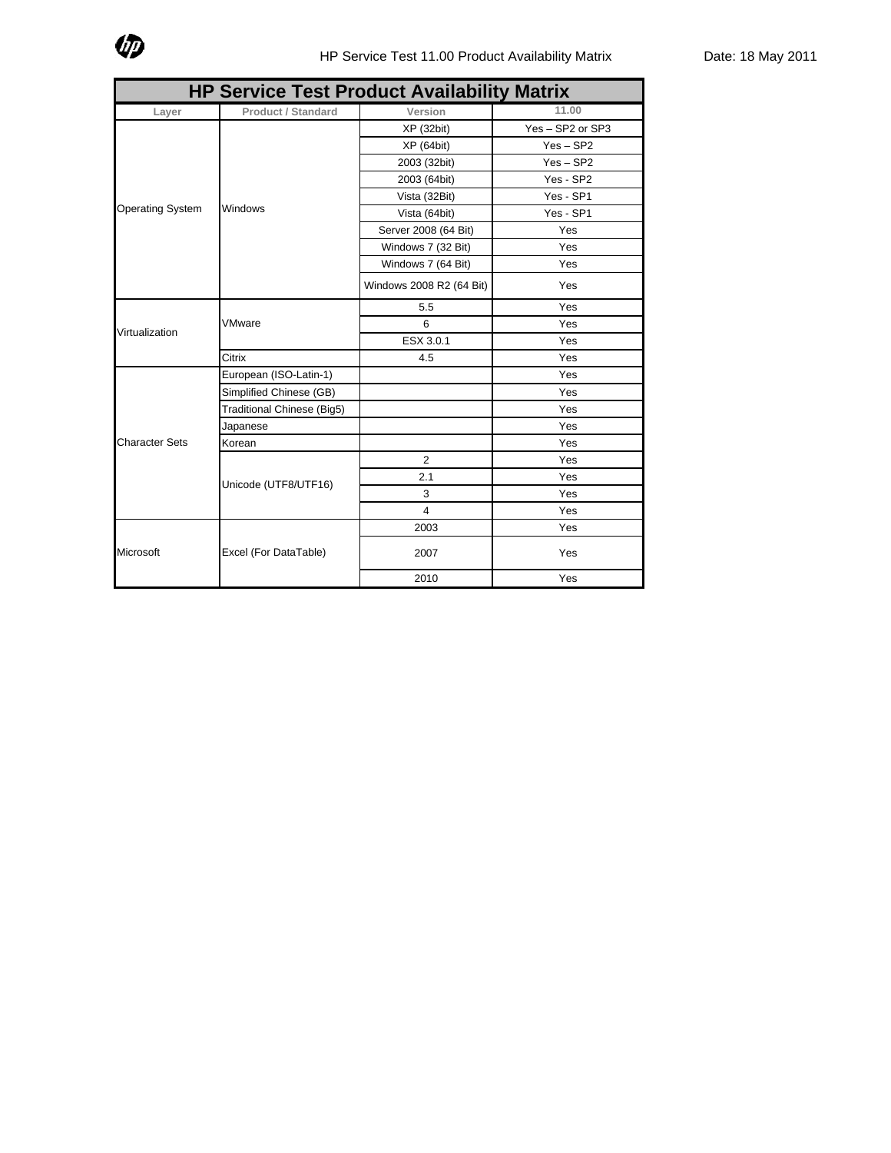

| <b>HP Service Test Product Availability Matrix</b> |                            |                          |                  |  |  |
|----------------------------------------------------|----------------------------|--------------------------|------------------|--|--|
| Layer                                              | <b>Product / Standard</b>  | Version                  | 11.00            |  |  |
| <b>Operating System</b>                            | Windows                    | XP(32bit)                | Yes - SP2 or SP3 |  |  |
|                                                    |                            | XP(64bit)                | $Yes - SP2$      |  |  |
|                                                    |                            | 2003 (32bit)             | $Yes - SP2$      |  |  |
|                                                    |                            | 2003 (64bit)             | Yes - SP2        |  |  |
|                                                    |                            | Vista (32Bit)            | Yes - SP1        |  |  |
|                                                    |                            | Vista (64bit)            | Yes - SP1        |  |  |
|                                                    |                            | Server 2008 (64 Bit)     | Yes              |  |  |
|                                                    |                            | Windows 7 (32 Bit)       | Yes              |  |  |
|                                                    |                            | Windows 7 (64 Bit)       | Yes              |  |  |
|                                                    |                            | Windows 2008 R2 (64 Bit) | Yes              |  |  |
|                                                    | VMware                     | 5.5                      | Yes              |  |  |
| Virtualization                                     |                            | 6                        | Yes              |  |  |
|                                                    |                            | ESX 3.0.1                | Yes              |  |  |
|                                                    | Citrix                     | 4.5                      | Yes              |  |  |
| <b>Character Sets</b>                              | European (ISO-Latin-1)     |                          | Yes              |  |  |
|                                                    | Simplified Chinese (GB)    |                          | Yes              |  |  |
|                                                    | Traditional Chinese (Big5) |                          | Yes              |  |  |
|                                                    | Japanese                   |                          | Yes              |  |  |
|                                                    | Korean                     |                          | Yes              |  |  |
|                                                    | Unicode (UTF8/UTF16)       | 2                        | Yes              |  |  |
|                                                    |                            | 2.1                      | Yes              |  |  |
|                                                    |                            | 3                        | Yes              |  |  |
|                                                    |                            | $\overline{4}$           | Yes              |  |  |
| Microsoft                                          | Excel (For DataTable)      | 2003                     | Yes              |  |  |
|                                                    |                            | 2007                     | Yes              |  |  |
|                                                    |                            | 2010                     | Yes              |  |  |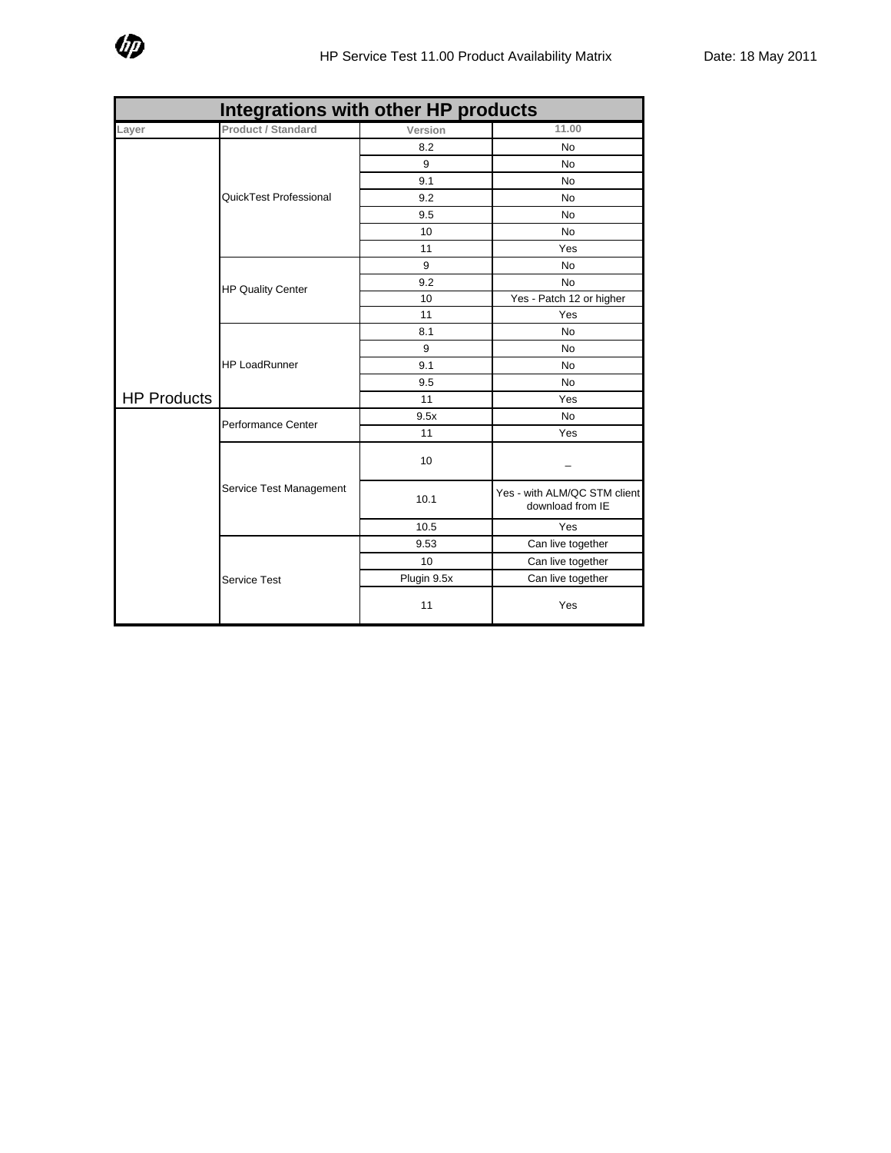

| Integrations with other HP products |                          |             |                                                  |  |
|-------------------------------------|--------------------------|-------------|--------------------------------------------------|--|
| .ayer                               | Product / Standard       | Version     | 11.00                                            |  |
|                                     | QuickTest Professional   | 8.2         | No                                               |  |
|                                     |                          | 9           | No                                               |  |
|                                     |                          | 9.1         | No                                               |  |
|                                     |                          | 9.2         | <b>No</b>                                        |  |
|                                     |                          | 9.5         | <b>No</b>                                        |  |
|                                     |                          | 10          | <b>No</b>                                        |  |
|                                     |                          | 11          | Yes                                              |  |
|                                     | <b>HP Quality Center</b> | 9           | No                                               |  |
|                                     |                          | 9.2         | <b>No</b>                                        |  |
|                                     |                          | 10          | Yes - Patch 12 or higher                         |  |
|                                     |                          | 11          | Yes                                              |  |
|                                     | <b>HP LoadRunner</b>     | 8.1         | <b>No</b>                                        |  |
|                                     |                          | 9           | <b>No</b>                                        |  |
|                                     |                          | 9.1         | No                                               |  |
| <b>HP Products</b>                  |                          | 9.5         | No                                               |  |
|                                     |                          | 11          | Yes                                              |  |
|                                     | Performance Center       | 9.5x        | No                                               |  |
|                                     |                          | 11          | Yes                                              |  |
|                                     | Service Test Management  | 10          |                                                  |  |
|                                     |                          | 10.1        | Yes - with ALM/QC STM client<br>download from IE |  |
|                                     |                          | 10.5        | Yes                                              |  |
|                                     | <b>Service Test</b>      | 9.53        | Can live together                                |  |
|                                     |                          | 10          | Can live together                                |  |
|                                     |                          | Plugin 9.5x | Can live together                                |  |
|                                     |                          | 11          | Yes                                              |  |